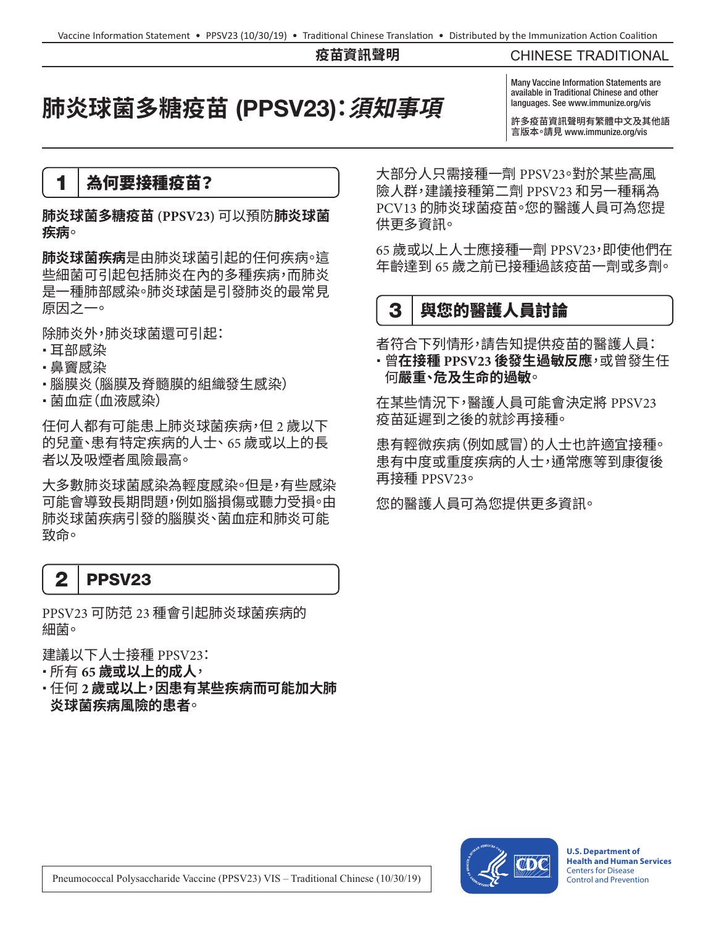#### **疫苗資訊聲明**

#### CHINESE TRADITIONAL

# **肺炎球菌多糖疫苗** (PPSV23)**:須知事項**

Many Vaccine Information Statements are available in Traditional Chinese and other languages. See www.immunize.org/vis

許多疫苗資訊聲明有繁體中文及其他語 言版本。請見 [www.immunize.org/vis](http://www.immunize.org/vis)

### 1 為何要接種疫苗?

**肺炎球菌多糖疫苗 (PPSV23)** 可以預防**肺炎球菌 疾病**。

**肺炎球菌疾病**是由肺炎球菌引起的任何疾病。這 些細菌可引起包括肺炎在內的多種疾病,而肺炎 是一種肺部感染。肺炎球菌是引發肺炎的最常見 原因之一。

除肺炎外,肺炎球菌還可引起:

- •耳部感染
- 鼻竇感染
- 腦膜炎(腦膜及脊髓膜的組織發生感染)
- •菌血症(血液感染)

任何人都有可能患上肺炎球菌疾病,但 2 歲以下 的兒童、患有特定疾病的人士、65 歲或以上的長 者以及吸煙者風險最高。

大多數肺炎球菌感染為輕度感染。但是,有些感染 可能會導致長期問題,例如腦損傷或聽力受損。由 肺炎球菌疾病引發的腦膜炎、菌血症和肺炎可能 致命。



PPSV23 可防范 23 種會引起肺炎球菌疾病的 細菌。

建議以下人士接種 PPSV23:

所有 **65 歲或以上的成人**,

 任何 **2 歲或以上,因患有某些疾病而可能加大肺 炎球菌疾病風險的患者**。

大部分人只需接種一劑 PPSV23。對於某些高風 險人群,建議接種第二劑 PPSV23 和另一種稱為 PCV13 的肺炎球菌疫苗。您的醫護人員可為您提 供更多資訊。

65 歲或以上人士應接種一劑 PPSV23,即使他們在 年齡達到 65 歲之前已接種過該疫苗一劑或多劑。

## 3 | 與您的醫護人員討論

者符合下列情形,請告知提供疫苗的醫護人員: 曾**在接種 PPSV23 後發生過敏反應**,或曾發生任 何**嚴重、危及生命的過敏**。

在某些情況下,醫護人員可能會決定將 PPSV23 疫苗延遲到之後的就診再接種。

患有輕微疾病(例如感冒)的人士也許適宜接種。 患有中度或重度疾病的人士,通常應等到康復後 再接種 PPSV23。

您的醫護人員可為您提供更多資訊。



**U.S. Department of Health and Human Services**  Centers for Disease Control and Prevention